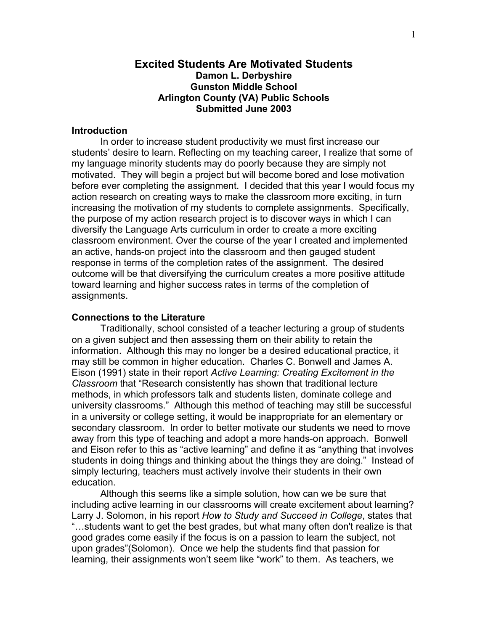# **Excited Students Are Motivated Students Damon L. Derbyshire Gunston Middle School Arlington County (VA) Public Schools Submitted June 2003**

## **Introduction**

 In order to increase student productivity we must first increase our students' desire to learn. Reflecting on my teaching career, I realize that some of my language minority students may do poorly because they are simply not motivated. They will begin a project but will become bored and lose motivation before ever completing the assignment. I decided that this year I would focus my action research on creating ways to make the classroom more exciting, in turn increasing the motivation of my students to complete assignments. Specifically, the purpose of my action research project is to discover ways in which I can diversify the Language Arts curriculum in order to create a more exciting classroom environment. Over the course of the year I created and implemented an active, hands-on project into the classroom and then gauged student response in terms of the completion rates of the assignment. The desired outcome will be that diversifying the curriculum creates a more positive attitude toward learning and higher success rates in terms of the completion of assignments.

#### **Connections to the Literature**

 Traditionally, school consisted of a teacher lecturing a group of students on a given subject and then assessing them on their ability to retain the information. Although this may no longer be a desired educational practice, it may still be common in higher education. Charles C. Bonwell and James A. Eison (1991) state in their report *Active Learning: Creating Excitement in the Classroom* that "Research consistently has shown that traditional lecture methods, in which professors talk and students listen, dominate college and university classrooms." Although this method of teaching may still be successful in a university or college setting, it would be inappropriate for an elementary or secondary classroom. In order to better motivate our students we need to move away from this type of teaching and adopt a more hands-on approach. Bonwell and Eison refer to this as "active learning" and define it as "anything that involves students in doing things and thinking about the things they are doing." Instead of simply lecturing, teachers must actively involve their students in their own education.

Although this seems like a simple solution, how can we be sure that including active learning in our classrooms will create excitement about learning? Larry J. Solomon, in his report *How to Study and Succeed in College*, states that "…students want to get the best grades, but what many often don't realize is that good grades come easily if the focus is on a passion to learn the subject, not upon grades"(Solomon). Once we help the students find that passion for learning, their assignments won't seem like "work" to them. As teachers, we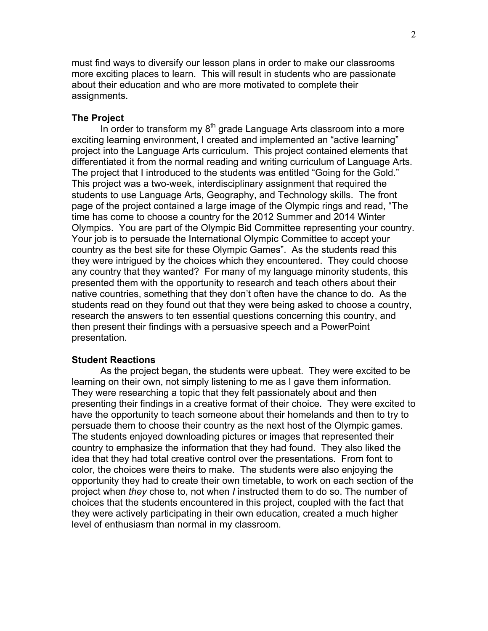must find ways to diversify our lesson plans in order to make our classrooms more exciting places to learn. This will result in students who are passionate about their education and who are more motivated to complete their assignments.

# **The Project**

In order to transform my  $8<sup>th</sup>$  grade Language Arts classroom into a more exciting learning environment, I created and implemented an "active learning" project into the Language Arts curriculum. This project contained elements that differentiated it from the normal reading and writing curriculum of Language Arts. The project that I introduced to the students was entitled "Going for the Gold." This project was a two-week, interdisciplinary assignment that required the students to use Language Arts, Geography, and Technology skills. The front page of the project contained a large image of the Olympic rings and read, "The time has come to choose a country for the 2012 Summer and 2014 Winter Olympics. You are part of the Olympic Bid Committee representing your country. Your job is to persuade the International Olympic Committee to accept your country as the best site for these Olympic Games". As the students read this they were intrigued by the choices which they encountered. They could choose any country that they wanted? For many of my language minority students, this presented them with the opportunity to research and teach others about their native countries, something that they don't often have the chance to do. As the students read on they found out that they were being asked to choose a country, research the answers to ten essential questions concerning this country, and then present their findings with a persuasive speech and a PowerPoint presentation.

#### **Student Reactions**

As the project began, the students were upbeat. They were excited to be learning on their own, not simply listening to me as I gave them information. They were researching a topic that they felt passionately about and then presenting their findings in a creative format of their choice. They were excited to have the opportunity to teach someone about their homelands and then to try to persuade them to choose their country as the next host of the Olympic games. The students enjoyed downloading pictures or images that represented their country to emphasize the information that they had found. They also liked the idea that they had total creative control over the presentations. From font to color, the choices were theirs to make. The students were also enjoying the opportunity they had to create their own timetable, to work on each section of the project when *they* chose to, not when *I* instructed them to do so. The number of choices that the students encountered in this project, coupled with the fact that they were actively participating in their own education, created a much higher level of enthusiasm than normal in my classroom.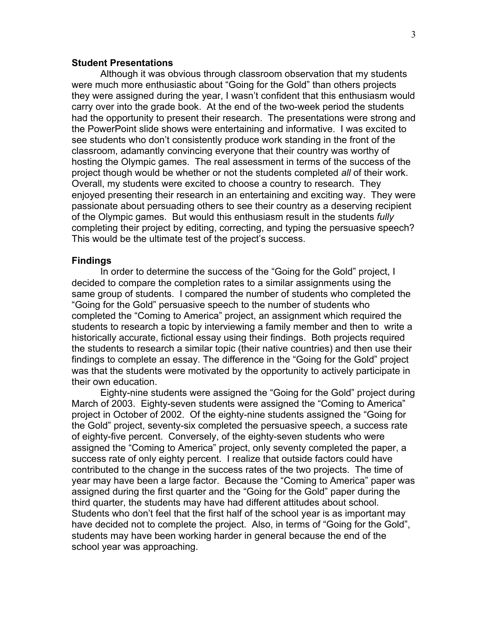## **Student Presentations**

Although it was obvious through classroom observation that my students were much more enthusiastic about "Going for the Gold" than others projects they were assigned during the year, I wasn't confident that this enthusiasm would carry over into the grade book. At the end of the two-week period the students had the opportunity to present their research. The presentations were strong and the PowerPoint slide shows were entertaining and informative. I was excited to see students who don't consistently produce work standing in the front of the classroom, adamantly convincing everyone that their country was worthy of hosting the Olympic games. The real assessment in terms of the success of the project though would be whether or not the students completed *all* of their work. Overall, my students were excited to choose a country to research. They enjoyed presenting their research in an entertaining and exciting way. They were passionate about persuading others to see their country as a deserving recipient of the Olympic games. But would this enthusiasm result in the students *fully* completing their project by editing, correcting, and typing the persuasive speech? This would be the ultimate test of the project's success.

#### **Findings**

In order to determine the success of the "Going for the Gold" project, I decided to compare the completion rates to a similar assignments using the same group of students. I compared the number of students who completed the "Going for the Gold" persuasive speech to the number of students who completed the "Coming to America" project, an assignment which required the students to research a topic by interviewing a family member and then to write a historically accurate, fictional essay using their findings. Both projects required the students to research a similar topic (their native countries) and then use their findings to complete an essay. The difference in the "Going for the Gold" project was that the students were motivated by the opportunity to actively participate in their own education.

Eighty-nine students were assigned the "Going for the Gold" project during March of 2003. Eighty-seven students were assigned the "Coming to America" project in October of 2002. Of the eighty-nine students assigned the "Going for the Gold" project, seventy-six completed the persuasive speech, a success rate of eighty-five percent. Conversely, of the eighty-seven students who were assigned the "Coming to America" project, only seventy completed the paper, a success rate of only eighty percent. I realize that outside factors could have contributed to the change in the success rates of the two projects. The time of year may have been a large factor. Because the "Coming to America" paper was assigned during the first quarter and the "Going for the Gold" paper during the third quarter, the students may have had different attitudes about school. Students who don't feel that the first half of the school year is as important may have decided not to complete the project. Also, in terms of "Going for the Gold", students may have been working harder in general because the end of the school year was approaching.